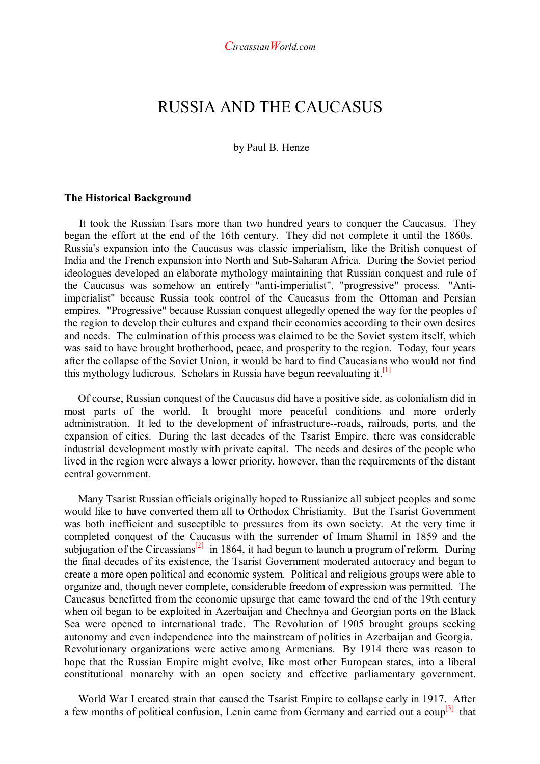# RUSSIA AND THE CAUCASUS

### by Paul B. Henze

#### **The Historical Background**

 It took the Russian Tsars more than two hundred years to conquer the Caucasus. They began the effort at the end of the 16th century. They did not complete it until the 1860s. Russia's expansion into the Caucasus was classic imperialism, like the British conquest of India and the French expansion into North and Sub-Saharan Africa. During the Soviet period ideologues developed an elaborate mythology maintaining that Russian conquest and rule of the Caucasus was somehow an entirely "anti-imperialist", "progressive" process. "Antiimperialist" because Russia took control of the Caucasus from the Ottoman and Persian empires. "Progressive" because Russian conquest allegedly opened the way for the peoples of the region to develop their cultures and expand their economies according to their own desires and needs. The culmination of this process was claimed to be the Soviet system itself, which was said to have brought brotherhood, peace, and prosperity to the region. Today, four years after the collapse of the Soviet Union, it would be hard to find Caucasians who would not find this mythology ludicrous. Scholars in Russia have begun reevaluating it.<sup>[1]</sup>

 Of course, Russian conquest of the Caucasus did have a positive side, as colonialism did in most parts of the world. It brought more peaceful conditions and more orderly administration. It led to the development of infrastructure--roads, railroads, ports, and the expansion of cities. During the last decades of the Tsarist Empire, there was considerable industrial development mostly with private capital. The needs and desires of the people who lived in the region were always a lower priority, however, than the requirements of the distant central government.

 Many Tsarist Russian officials originally hoped to Russianize all subject peoples and some would like to have converted them all to Orthodox Christianity. But the Tsarist Government was both inefficient and susceptible to pressures from its own society. At the very time it completed conquest of the Caucasus with the surrender of Imam Shamil in 1859 and the subjugation of the Circassians<sup>[2]</sup> in 1864, it had begun to launch a program of reform. During the final decades of its existence, the Tsarist Government moderated autocracy and began to create a more open political and economic system. Political and religious groups were able to organize and, though never complete, considerable freedom of expression was permitted. The Caucasus benefitted from the economic upsurge that came toward the end of the 19th century when oil began to be exploited in Azerbaijan and Chechnya and Georgian ports on the Black Sea were opened to international trade. The Revolution of 1905 brought groups seeking autonomy and even independence into the mainstream of politics in Azerbaijan and Georgia. Revolutionary organizations were active among Armenians. By 1914 there was reason to hope that the Russian Empire might evolve, like most other European states, into a liberal constitutional monarchy with an open society and effective parliamentary government.

 World War I created strain that caused the Tsarist Empire to collapse early in 1917. After a few months of political confusion, Lenin came from Germany and carried out a  $\text{coup}^{[3]}$  that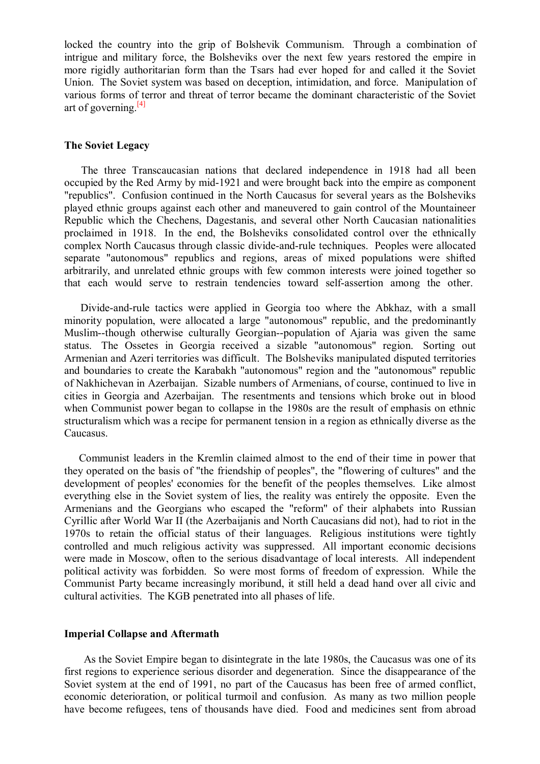locked the country into the grip of Bolshevik Communism. Through a combination of intrigue and military force, the Bolsheviks over the next few years restored the empire in more rigidly authoritarian form than the Tsars had ever hoped for and called it the Soviet Union. The Soviet system was based on deception, intimidation, and force. Manipulation of various forms of terror and threat of terror became the dominant characteristic of the Soviet art of governing. $[4]$ 

## **The Soviet Legacy**

 The three Transcaucasian nations that declared independence in 1918 had all been occupied by the Red Army by mid-1921 and were brought back into the empire as component "republics". Confusion continued in the North Caucasus for several years as the Bolsheviks played ethnic groups against each other and maneuvered to gain control of the Mountaineer Republic which the Chechens, Dagestanis, and several other North Caucasian nationalities proclaimed in 1918. In the end, the Bolsheviks consolidated control over the ethnically complex North Caucasus through classic divide-and-rule techniques. Peoples were allocated separate "autonomous" republics and regions, areas of mixed populations were shifted arbitrarily, and unrelated ethnic groups with few common interests were joined together so that each would serve to restrain tendencies toward self-assertion among the other.

 Divide-and-rule tactics were applied in Georgia too where the Abkhaz, with a small minority population, were allocated a large "autonomous" republic, and the predominantly Muslim--though otherwise culturally Georgian--population of Ajaria was given the same status. The Ossetes in Georgia received a sizable "autonomous" region. Sorting out Armenian and Azeri territories was difficult. The Bolsheviks manipulated disputed territories and boundaries to create the Karabakh "autonomous" region and the "autonomous" republic of Nakhichevan in Azerbaijan. Sizable numbers of Armenians, of course, continued to live in cities in Georgia and Azerbaijan. The resentments and tensions which broke out in blood when Communist power began to collapse in the 1980s are the result of emphasis on ethnic structuralism which was a recipe for permanent tension in a region as ethnically diverse as the Caucasus.

 Communist leaders in the Kremlin claimed almost to the end of their time in power that they operated on the basis of "the friendship of peoples", the "flowering of cultures" and the development of peoples' economies for the benefit of the peoples themselves. Like almost everything else in the Soviet system of lies, the reality was entirely the opposite. Even the Armenians and the Georgians who escaped the "reform" of their alphabets into Russian Cyrillic after World War II (the Azerbaijanis and North Caucasians did not), had to riot in the 1970s to retain the official status of their languages. Religious institutions were tightly controlled and much religious activity was suppressed. All important economic decisions were made in Moscow, often to the serious disadvantage of local interests. All independent political activity was forbidden. So were most forms of freedom of expression. While the Communist Party became increasingly moribund, it still held a dead hand over all civic and cultural activities. The KGB penetrated into all phases of life.

#### **Imperial Collapse and Aftermath**

 As the Soviet Empire began to disintegrate in the late 1980s, the Caucasus was one of its first regions to experience serious disorder and degeneration. Since the disappearance of the Soviet system at the end of 1991, no part of the Caucasus has been free of armed conflict, economic deterioration, or political turmoil and confusion. As many as two million people have become refugees, tens of thousands have died. Food and medicines sent from abroad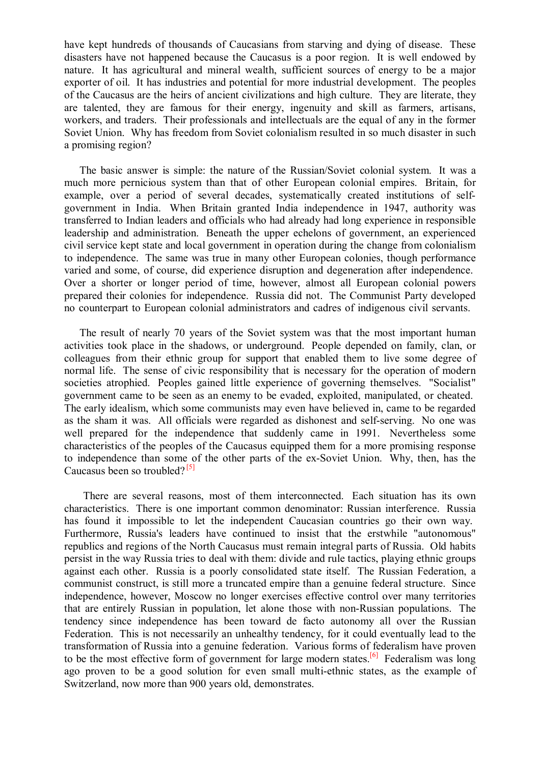have kept hundreds of thousands of Caucasians from starving and dying of disease. These disasters have not happened because the Caucasus is a poor region. It is well endowed by nature. It has agricultural and mineral wealth, sufficient sources of energy to be a major exporter of oil. It has industries and potential for more industrial development. The peoples of the Caucasus are the heirs of ancient civilizations and high culture. They are literate, they are talented, they are famous for their energy, ingenuity and skill as farmers, artisans, workers, and traders. Their professionals and intellectuals are the equal of any in the former Soviet Union. Why has freedom from Soviet colonialism resulted in so much disaster in such a promising region?

 The basic answer is simple: the nature of the Russian/Soviet colonial system. It was a much more pernicious system than that of other European colonial empires. Britain, for example, over a period of several decades, systematically created institutions of selfgovernment in India. When Britain granted India independence in 1947, authority was transferred to Indian leaders and officials who had already had long experience in responsible leadership and administration. Beneath the upper echelons of government, an experienced civil service kept state and local government in operation during the change from colonialism to independence. The same was true in many other European colonies, though performance varied and some, of course, did experience disruption and degeneration after independence. Over a shorter or longer period of time, however, almost all European colonial powers prepared their colonies for independence. Russia did not. The Communist Party developed no counterpart to European colonial administrators and cadres of indigenous civil servants.

 The result of nearly 70 years of the Soviet system was that the most important human activities took place in the shadows, or underground. People depended on family, clan, or colleagues from their ethnic group for support that enabled them to live some degree of normal life. The sense of civic responsibility that is necessary for the operation of modern societies atrophied. Peoples gained little experience of governing themselves. "Socialist" government came to be seen as an enemy to be evaded, exploited, manipulated, or cheated. The early idealism, which some communists may even have believed in, came to be regarded as the sham it was. All officials were regarded as dishonest and self-serving. No one was well prepared for the independence that suddenly came in 1991. Nevertheless some characteristics of the peoples of the Caucasus equipped them for a more promising response to independence than some of the other parts of the ex-Soviet Union. Why, then, has the Caucasus been so troubled? $[5]$ 

 There are several reasons, most of them interconnected. Each situation has its own characteristics. There is one important common denominator: Russian interference. Russia has found it impossible to let the independent Caucasian countries go their own way. Furthermore, Russia's leaders have continued to insist that the erstwhile "autonomous" republics and regions of the North Caucasus must remain integral parts of Russia. Old habits persist in the way Russia tries to deal with them: divide and rule tactics, playing ethnic groups against each other. Russia is a poorly consolidated state itself. The Russian Federation, a communist construct, is still more a truncated empire than a genuine federal structure. Since independence, however, Moscow no longer exercises effective control over many territories that are entirely Russian in population, let alone those with non-Russian populations. The tendency since independence has been toward de facto autonomy all over the Russian Federation. This is not necessarily an unhealthy tendency, for it could eventually lead to the transformation of Russia into a genuine federation. Various forms of federalism have proven to be the most effective form of government for large modern states.<sup>[6]</sup> Federalism was long ago proven to be a good solution for even small multi-ethnic states, as the example of Switzerland, now more than 900 years old, demonstrates.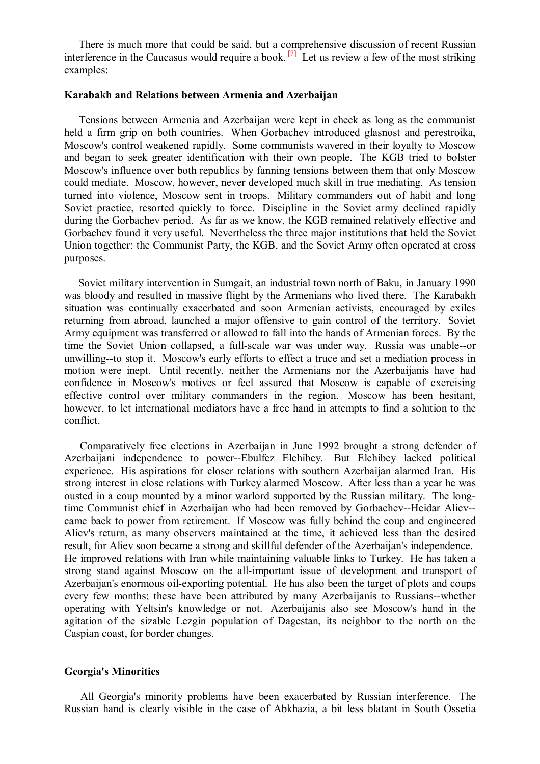There is much more that could be said, but a comprehensive discussion of recent Russian interference in the Caucasus would require a book.  $^{[7]}$  Let us review a few of the most striking examples:

# **Karabakh and Relations between Armenia and Azerbaijan**

 Tensions between Armenia and Azerbaijan were kept in check as long as the communist held a firm grip on both countries. When Gorbachev introduced glasnost and perestroika, Moscow's control weakened rapidly. Some communists wavered in their loyalty to Moscow and began to seek greater identification with their own people. The KGB tried to bolster Moscow's influence over both republics by fanning tensions between them that only Moscow could mediate. Moscow, however, never developed much skill in true mediating. As tension turned into violence, Moscow sent in troops. Military commanders out of habit and long Soviet practice, resorted quickly to force. Discipline in the Soviet army declined rapidly during the Gorbachev period. As far as we know, the KGB remained relatively effective and Gorbachev found it very useful. Nevertheless the three major institutions that held the Soviet Union together: the Communist Party, the KGB, and the Soviet Army often operated at cross purposes.

 Soviet military intervention in Sumgait, an industrial town north of Baku, in January 1990 was bloody and resulted in massive flight by the Armenians who lived there. The Karabakh situation was continually exacerbated and soon Armenian activists, encouraged by exiles returning from abroad, launched a major offensive to gain control of the territory. Soviet Army equipment was transferred or allowed to fall into the hands of Armenian forces. By the time the Soviet Union collapsed, a full-scale war was under way. Russia was unable--or unwilling--to stop it. Moscow's early efforts to effect a truce and set a mediation process in motion were inept. Until recently, neither the Armenians nor the Azerbaijanis have had confidence in Moscow's motives or feel assured that Moscow is capable of exercising effective control over military commanders in the region. Moscow has been hesitant, however, to let international mediators have a free hand in attempts to find a solution to the conflict.

 Comparatively free elections in Azerbaijan in June 1992 brought a strong defender of Azerbaijani independence to power--Ebulfez Elchibey. But Elchibey lacked political experience. His aspirations for closer relations with southern Azerbaijan alarmed Iran. His strong interest in close relations with Turkey alarmed Moscow. After less than a year he was ousted in a coup mounted by a minor warlord supported by the Russian military. The longtime Communist chief in Azerbaijan who had been removed by Gorbachev--Heidar Aliev- came back to power from retirement. If Moscow was fully behind the coup and engineered Aliev's return, as many observers maintained at the time, it achieved less than the desired result, for Aliev soon became a strong and skillful defender of the Azerbaijan's independence. He improved relations with Iran while maintaining valuable links to Turkey. He has taken a strong stand against Moscow on the all-important issue of development and transport of Azerbaijan's enormous oil-exporting potential. He has also been the target of plots and coups every few months; these have been attributed by many Azerbaijanis to Russians--whether operating with Yeltsin's knowledge or not. Azerbaijanis also see Moscow's hand in the agitation of the sizable Lezgin population of Dagestan, its neighbor to the north on the Caspian coast, for border changes.

## **Georgia's Minorities**

 All Georgia's minority problems have been exacerbated by Russian interference. The Russian hand is clearly visible in the case of Abkhazia, a bit less blatant in South Ossetia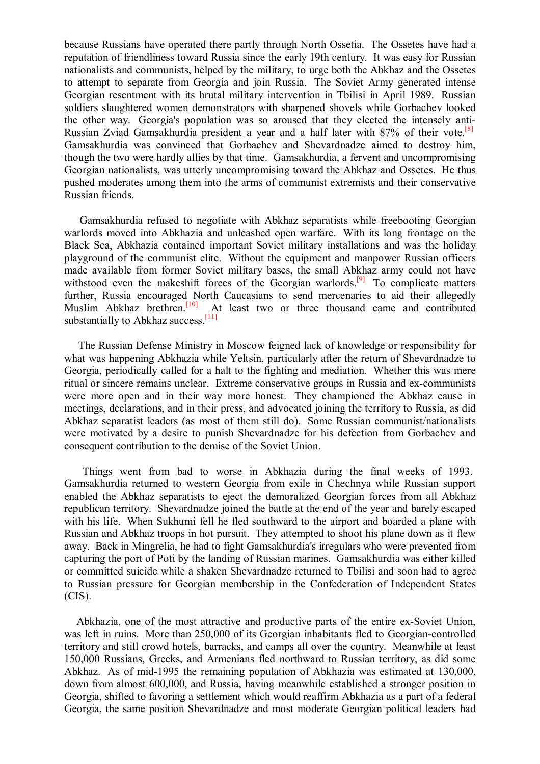because Russians have operated there partly through North Ossetia. The Ossetes have had a reputation of friendliness toward Russia since the early 19th century. It was easy for Russian nationalists and communists, helped by the military, to urge both the Abkhaz and the Ossetes to attempt to separate from Georgia and join Russia. The Soviet Army generated intense Georgian resentment with its brutal military intervention in Tbilisi in April 1989. Russian soldiers slaughtered women demonstrators with sharpened shovels while Gorbachev looked the other way. Georgia's population was so aroused that they elected the intensely anti-Russian Zviad Gamsakhurdia president a year and a half later with  $87\%$  of their vote.<sup>[8]</sup> Gamsakhurdia was convinced that Gorbachev and Shevardnadze aimed to destroy him, though the two were hardly allies by that time. Gamsakhurdia, a fervent and uncompromising Georgian nationalists, was utterly uncompromising toward the Abkhaz and Ossetes. He thus pushed moderates among them into the arms of communist extremists and their conservative Russian friends.

 Gamsakhurdia refused to negotiate with Abkhaz separatists while freebooting Georgian warlords moved into Abkhazia and unleashed open warfare. With its long frontage on the Black Sea, Abkhazia contained important Soviet military installations and was the holiday playground of the communist elite. Without the equipment and manpower Russian officers made available from former Soviet military bases, the small Abkhaz army could not have withstood even the makeshift forces of the Georgian warlords.<sup>[9]</sup> To complicate matters further, Russia encouraged North Caucasians to send mercenaries to aid their allegedly Muslim Abkhaz brethren.<sup>[10]</sup> At least two or three thousand came and contributed substantially to Abkhaz success.<sup>[11]</sup>

 The Russian Defense Ministry in Moscow feigned lack of knowledge or responsibility for what was happening Abkhazia while Yeltsin, particularly after the return of Shevardnadze to Georgia, periodically called for a halt to the fighting and mediation. Whether this was mere ritual or sincere remains unclear. Extreme conservative groups in Russia and ex-communists were more open and in their way more honest. They championed the Abkhaz cause in meetings, declarations, and in their press, and advocated joining the territory to Russia, as did Abkhaz separatist leaders (as most of them still do). Some Russian communist/nationalists were motivated by a desire to punish Shevardnadze for his defection from Gorbachev and consequent contribution to the demise of the Soviet Union.

 Things went from bad to worse in Abkhazia during the final weeks of 1993. Gamsakhurdia returned to western Georgia from exile in Chechnya while Russian support enabled the Abkhaz separatists to eject the demoralized Georgian forces from all Abkhaz republican territory. Shevardnadze joined the battle at the end of the year and barely escaped with his life. When Sukhumi fell he fled southward to the airport and boarded a plane with Russian and Abkhaz troops in hot pursuit. They attempted to shoot his plane down as it flew away. Back in Mingrelia, he had to fight Gamsakhurdia's irregulars who were prevented from capturing the port of Poti by the landing of Russian marines. Gamsakhurdia was either killed or committed suicide while a shaken Shevardnadze returned to Tbilisi and soon had to agree to Russian pressure for Georgian membership in the Confederation of Independent States (CIS).

 Abkhazia, one of the most attractive and productive parts of the entire ex-Soviet Union, was left in ruins. More than 250,000 of its Georgian inhabitants fled to Georgian-controlled territory and still crowd hotels, barracks, and camps all over the country. Meanwhile at least 150,000 Russians, Greeks, and Armenians fled northward to Russian territory, as did some Abkhaz. As of mid-1995 the remaining population of Abkhazia was estimated at 130,000, down from almost 600,000, and Russia, having meanwhile established a stronger position in Georgia, shifted to favoring a settlement which would reaffirm Abkhazia as a part of a federal Georgia, the same position Shevardnadze and most moderate Georgian political leaders had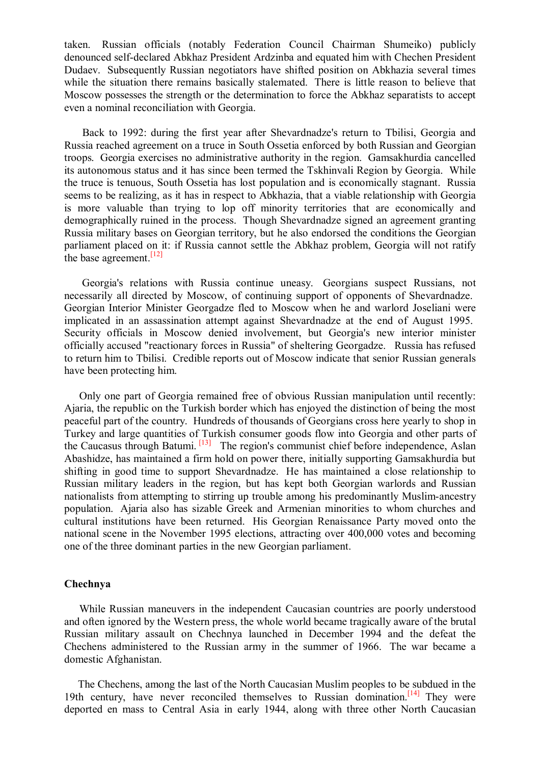taken. Russian officials (notably Federation Council Chairman Shumeiko) publicly denounced self-declared Abkhaz President Ardzinba and equated him with Chechen President Dudaev. Subsequently Russian negotiators have shifted position on Abkhazia several times while the situation there remains basically stalemated. There is little reason to believe that Moscow possesses the strength or the determination to force the Abkhaz separatists to accept even a nominal reconciliation with Georgia.

 Back to 1992: during the first year after Shevardnadze's return to Tbilisi, Georgia and Russia reached agreement on a truce in South Ossetia enforced by both Russian and Georgian troops. Georgia exercises no administrative authority in the region. Gamsakhurdia cancelled its autonomous status and it has since been termed the Tskhinvali Region by Georgia. While the truce is tenuous, South Ossetia has lost population and is economically stagnant. Russia seems to be realizing, as it has in respect to Abkhazia, that a viable relationship with Georgia is more valuable than trying to lop off minority territories that are economically and demographically ruined in the process. Though Shevardnadze signed an agreement granting Russia military bases on Georgian territory, but he also endorsed the conditions the Georgian parliament placed on it: if Russia cannot settle the Abkhaz problem, Georgia will not ratify the base agreement.<sup>[12]</sup>

 Georgia's relations with Russia continue uneasy. Georgians suspect Russians, not necessarily all directed by Moscow, of continuing support of opponents of Shevardnadze. Georgian Interior Minister Georgadze fled to Moscow when he and warlord Joseliani were implicated in an assassination attempt against Shevardnadze at the end of August 1995. Security officials in Moscow denied involvement, but Georgia's new interior minister officially accused "reactionary forces in Russia" of sheltering Georgadze. Russia has refused to return him to Tbilisi. Credible reports out of Moscow indicate that senior Russian generals have been protecting him.

 Only one part of Georgia remained free of obvious Russian manipulation until recently: Ajaria, the republic on the Turkish border which has enjoyed the distinction of being the most peaceful part of the country. Hundreds of thousands of Georgians cross here yearly to shop in Turkey and large quantities of Turkish consumer goods flow into Georgia and other parts of the Caucasus through Batumi. [13] The region's communist chief before independence, Aslan Abashidze, has maintained a firm hold on power there, initially supporting Gamsakhurdia but shifting in good time to support Shevardnadze. He has maintained a close relationship to Russian military leaders in the region, but has kept both Georgian warlords and Russian nationalists from attempting to stirring up trouble among his predominantly Muslim-ancestry population. Ajaria also has sizable Greek and Armenian minorities to whom churches and cultural institutions have been returned. His Georgian Renaissance Party moved onto the national scene in the November 1995 elections, attracting over 400,000 votes and becoming one of the three dominant parties in the new Georgian parliament.

### **Chechnya**

 While Russian maneuvers in the independent Caucasian countries are poorly understood and often ignored by the Western press, the whole world became tragically aware of the brutal Russian military assault on Chechnya launched in December 1994 and the defeat the Chechens administered to the Russian army in the summer of 1966. The war became a domestic Afghanistan.

 The Chechens, among the last of the North Caucasian Muslim peoples to be subdued in the 19th century, have never reconciled themselves to Russian domination.<sup>[14]</sup> They were deported en mass to Central Asia in early 1944, along with three other North Caucasian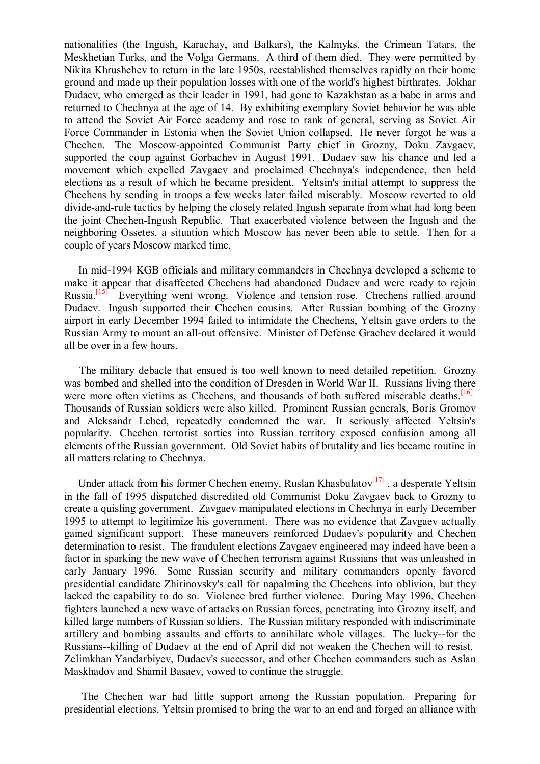nationalities (the Ingush, Karachay, and Balkars), the Kalmyks, the Crimean Tatars, the Meskhetian Turks, and the Volga Germans. A third of them died. They were permitted by Nikita Khrushchev to return in the late 1950s, reestablished themselves rapidly on their home ground and made up their population losses with one of the world's highest birthrates. Jokhar Dudaev, who emerged as their leader in 1991, had gone to Kazakhstan as a babe in arms and returned to Chechnya at the age of 14. By exhibiting exemplary Soviet behavior he was able to attend the Soviet Air Force academy and rose to rank of general, serving as Soviet Air Force Commander in Estonia when the Soviet Union collapsed. He never forgot he was a Chechen. The Moscow-appointed Communist Party chief in Grozny, Doku Zavgaev, supported the coup against Gorbachev in August 1991. Dudaev saw his chance and led a movement which expelled Zavgaev and proclaimed Chechnya's independence, then held elections as a result of which he became president. Yeltsin's initial attempt to suppress the Chechens by sending in troops a few weeks later failed miserably. Moscow reverted to old divide-and-rule tactics by helping the closely related Ingush separate from what had long been the joint Chechen-Ingush Republic. That exacerbated violence between the Ingush and the neighboring Ossetes, a situation which Moscow has never been able to settle. Then for a couple of years Moscow marked time.

 In mid-1994 KGB officials and military commanders in Chechnya developed a scheme to make it appear that disaffected Chechens had abandoned Dudaev and were ready to rejoin Russia.<sup>[15]</sup> Everything went wrong. Violence and tension rose. Chechens rallied around Dudaev. Ingush supported their Chechen cousins. After Russian bombing of the Grozny airport in early December 1994 failed to intimidate the Chechens, Yeltsin gave orders to the Russian Army to mount an all-out offensive. Minister of Defense Grachev declared it would all be over in a few hours.

 The military debacle that ensued is too well known to need detailed repetition. Grozny was bombed and shelled into the condition of Dresden in World War II. Russians living there were more often victims as Chechens, and thousands of both suffered miserable deaths.<sup>[16]</sup> Thousands of Russian soldiers were also killed. Prominent Russian generals, Boris Gromov and Aleksandr Lebed, repeatedly condemned the war. It seriously affected Yeltsin's popularity. Chechen terrorist sorties into Russian territory exposed confusion among all elements of the Russian government. Old Soviet habits of brutality and lies became routine in all matters relating to Chechnya.

Under attack from his former Chechen enemy, Ruslan Khasbulatov $\left[17\right]$ , a desperate Yeltsin in the fall of 1995 dispatched discredited old Communist Doku Zavgaev back to Grozny to create a quisling government. Zavgaev manipulated elections in Chechnya in early December 1995 to attempt to legitimize his government. There was no evidence that Zavgaev actually gained significant support. These maneuvers reinforced Dudaev's popularity and Chechen determination to resist. The fraudulent elections Zavgaev engineered may indeed have been a factor in sparking the new wave of Chechen terrorism against Russians that was unleashed in early January 1996. Some Russian security and military commanders openly favored presidential candidate Zhirinovsky's call for napalming the Chechens into oblivion, but they lacked the capability to do so. Violence bred further violence. During May 1996, Chechen fighters launched a new wave of attacks on Russian forces, penetrating into Grozny itself, and killed large numbers of Russian soldiers. The Russian military responded with indiscriminate artillery and bombing assaults and efforts to annihilate whole villages. The lucky--for the Russians--killing of Dudaev at the end of April did not weaken the Chechen will to resist. Zelimkhan Yandarbiyev, Dudaev's successor, and other Chechen commanders such as Aslan Maskhadov and Shamil Basaev, vowed to continue the struggle.

 The Chechen war had little support among the Russian population. Preparing for presidential elections, Yeltsin promised to bring the war to an end and forged an alliance with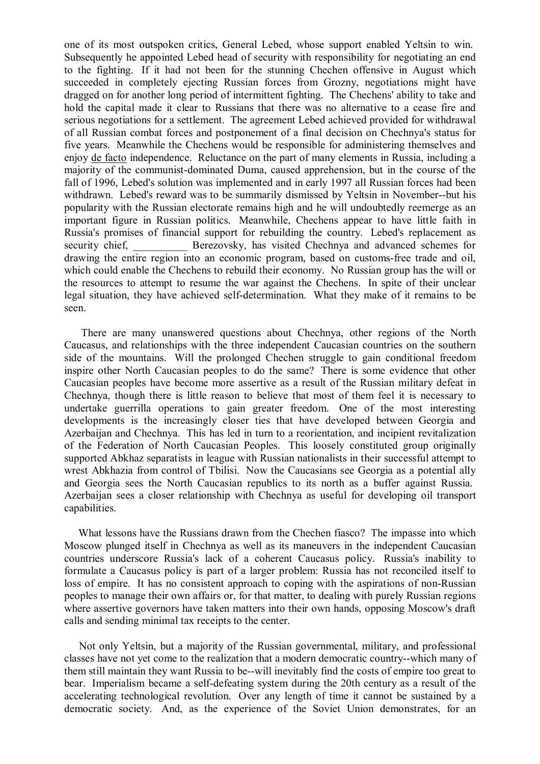one of its most outspoken critics, General Lebed, whose support enabled Yeltsin to win. Subsequently he appointed Lebed head of security with responsibility for negotiating an end to the fighting. If it had not been for the stunning Chechen offensive in August which succeeded in completely ejecting Russian forces from Grozny, negotiations might have dragged on for another long period of intermittent fighting. The Chechens' ability to take and hold the capital made it clear to Russians that there was no alternative to a cease fire and serious negotiations for a settlement. The agreement Lebed achieved provided for withdrawal of all Russian combat forces and postponement of a final decision on Chechnya's status for five years. Meanwhile the Chechens would be responsible for administering themselves and enjoy de facto independence. Reluctance on the part of many elements in Russia, including a majority of the communist-dominated Duma, caused apprehension, but in the course of the fall of 1996, Lebed's solution was implemented and in early 1997 all Russian forces had been withdrawn. Lebed's reward was to be summarily dismissed by Yeltsin in November--but his popularity with the Russian electorate remains high and he will undoubtedly reemerge as an important figure in Russian politics. Meanwhile, Chechens appear to have little faith in Russia's promises of financial support for rebuilding the country. Lebed's replacement as security chief, Berezovsky, has visited Chechnya and advanced schemes for drawing the entire region into an economic program, based on customs-free trade and oil, which could enable the Chechens to rebuild their economy. No Russian group has the will or the resources to attempt to resume the war against the Chechens. In spite of their unclear legal situation, they have achieved self-determination. What they make of it remains to be seen.

 There are many unanswered questions about Chechnya, other regions of the North Caucasus, and relationships with the three independent Caucasian countries on the southern side of the mountains. Will the prolonged Chechen struggle to gain conditional freedom inspire other North Caucasian peoples to do the same? There is some evidence that other Caucasian peoples have become more assertive as a result of the Russian military defeat in Chechnya, though there is little reason to believe that most of them feel it is necessary to undertake guerrilla operations to gain greater freedom. One of the most interesting developments is the increasingly closer ties that have developed between Georgia and Azerbaijan and Chechnya. This has led in turn to a reorientation, and incipient revitalization of the Federation of North Caucasian Peoples. This loosely constituted group originally supported Abkhaz separatists in league with Russian nationalists in their successful attempt to wrest Abkhazia from control of Tbilisi. Now the Caucasians see Georgia as a potential ally and Georgia sees the North Caucasian republics to its north as a buffer against Russia. Azerbaijan sees a closer relationship with Chechnya as useful for developing oil transport capabilities.

 What lessons have the Russians drawn from the Chechen fiasco? The impasse into which Moscow plunged itself in Chechnya as well as its maneuvers in the independent Caucasian countries underscore Russia's lack of a coherent Caucasus policy. Russia's inability to formulate a Caucasus policy is part of a larger problem: Russia has not reconciled itself to loss of empire. It has no consistent approach to coping with the aspirations of non-Russian peoples to manage their own affairs or, for that matter, to dealing with purely Russian regions where assertive governors have taken matters into their own hands, opposing Moscow's draft calls and sending minimal tax receipts to the center.

 Not only Yeltsin, but a majority of the Russian governmental, military, and professional classes have not yet come to the realization that a modern democratic country--which many of them still maintain they want Russia to be--will inevitably find the costs of empire too great to bear. Imperialism became a self-defeating system during the 20th century as a result of the accelerating technological revolution. Over any length of time it cannot be sustained by a democratic society. And, as the experience of the Soviet Union demonstrates, for an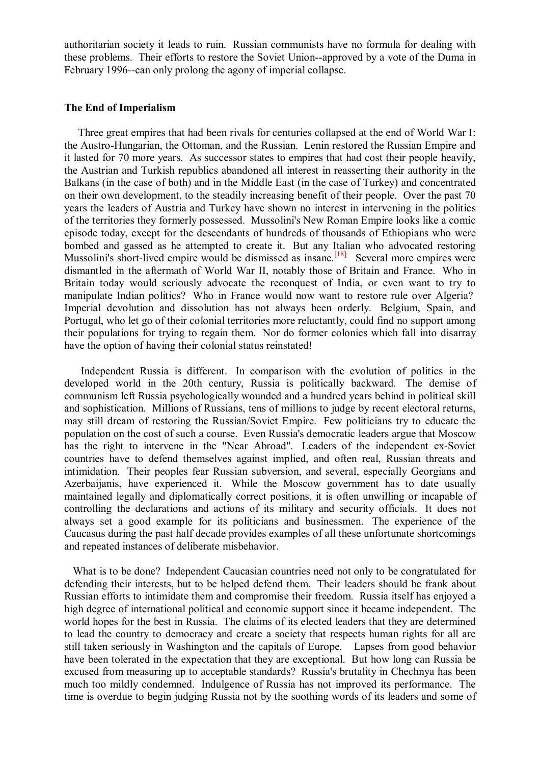authoritarian society it leads to ruin. Russian communists have no formula for dealing with these problems. Their efforts to restore the Soviet Union--approved by a vote of the Duma in February 1996--can only prolong the agony of imperial collapse.

# **The End of Imperialism**

 Three great empires that had been rivals for centuries collapsed at the end of World War I: the Austro-Hungarian, the Ottoman, and the Russian. Lenin restored the Russian Empire and it lasted for 70 more years. As successor states to empires that had cost their people heavily, the Austrian and Turkish republics abandoned all interest in reasserting their authority in the Balkans (in the case of both) and in the Middle East (in the case of Turkey) and concentrated on their own development, to the steadily increasing benefit of their people. Over the past 70 years the leaders of Austria and Turkey have shown no interest in intervening in the politics of the territories they formerly possessed. Mussolini's New Roman Empire looks like a comic episode today, except for the descendants of hundreds of thousands of Ethiopians who were bombed and gassed as he attempted to create it. But any Italian who advocated restoring Mussolini's short-lived empire would be dismissed as insane.<sup>[18]</sup> Several more empires were dismantled in the aftermath of World War II, notably those of Britain and France. Who in Britain today would seriously advocate the reconquest of India, or even want to try to manipulate Indian politics? Who in France would now want to restore rule over Algeria? Imperial devolution and dissolution has not always been orderly. Belgium, Spain, and Portugal, who let go of their colonial territories more reluctantly, could find no support among their populations for trying to regain them. Nor do former colonies which fall into disarray have the option of having their colonial status reinstated!

 Independent Russia is different. In comparison with the evolution of politics in the developed world in the 20th century, Russia is politically backward. The demise of communism left Russia psychologically wounded and a hundred years behind in political skill and sophistication. Millions of Russians, tens of millions to judge by recent electoral returns, may still dream of restoring the Russian/Soviet Empire. Few politicians try to educate the population on the cost of such a course. Even Russia's democratic leaders argue that Moscow has the right to intervene in the "Near Abroad". Leaders of the independent ex-Soviet countries have to defend themselves against implied, and often real, Russian threats and intimidation. Their peoples fear Russian subversion, and several, especially Georgians and Azerbaijanis, have experienced it. While the Moscow government has to date usually maintained legally and diplomatically correct positions, it is often unwilling or incapable of controlling the declarations and actions of its military and security officials. It does not always set a good example for its politicians and businessmen. The experience of the Caucasus during the past half decade provides examples of all these unfortunate shortcomings and repeated instances of deliberate misbehavior.

 What is to be done? Independent Caucasian countries need not only to be congratulated for defending their interests, but to be helped defend them. Their leaders should be frank about Russian efforts to intimidate them and compromise their freedom. Russia itself has enjoyed a high degree of international political and economic support since it became independent. The world hopes for the best in Russia. The claims of its elected leaders that they are determined to lead the country to democracy and create a society that respects human rights for all are still taken seriously in Washington and the capitals of Europe. Lapses from good behavior have been tolerated in the expectation that they are exceptional. But how long can Russia be excused from measuring up to acceptable standards? Russia's brutality in Chechnya has been much too mildly condemned. Indulgence of Russia has not improved its performance. The time is overdue to begin judging Russia not by the soothing words of its leaders and some of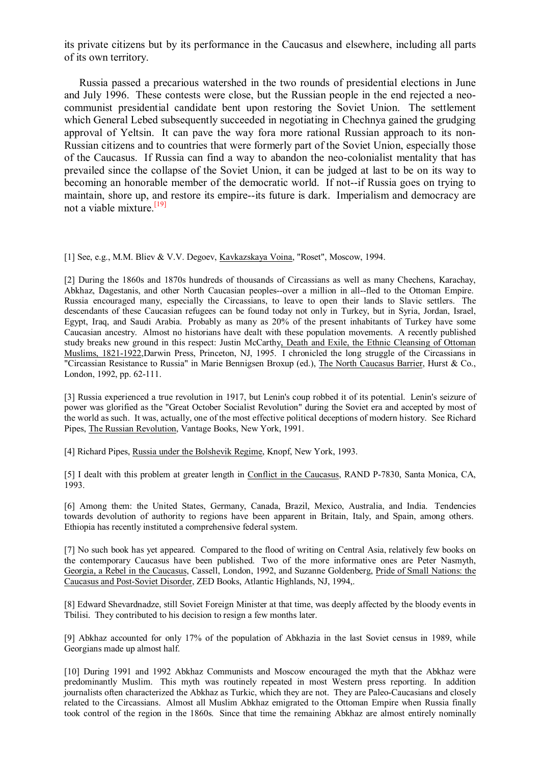its private citizens but by its performance in the Caucasus and elsewhere, including all parts of its own territory.

 Russia passed a precarious watershed in the two rounds of presidential elections in June and July 1996. These contests were close, but the Russian people in the end rejected a neocommunist presidential candidate bent upon restoring the Soviet Union. The settlement which General Lebed subsequently succeeded in negotiating in Chechnya gained the grudging approval of Yeltsin. It can pave the way fora more rational Russian approach to its non-Russian citizens and to countries that were formerly part of the Soviet Union, especially those of the Caucasus. If Russia can find a way to abandon the neo-colonialist mentality that has prevailed since the collapse of the Soviet Union, it can be judged at last to be on its way to becoming an honorable member of the democratic world. If not--if Russia goes on trying to maintain, shore up, and restore its empire--its future is dark. Imperialism and democracy are not a viable mixture.  $[19]$ 

[1] See, e.g., M.M. Bliev & V.V. Degoev, Kavkazskaya Voina, "Roset", Moscow, 1994.

[2] During the 1860s and 1870s hundreds of thousands of Circassians as well as many Chechens, Karachay, Abkhaz, Dagestanis, and other North Caucasian peoples--over a million in all--fled to the Ottoman Empire. Russia encouraged many, especially the Circassians, to leave to open their lands to Slavic settlers. The descendants of these Caucasian refugees can be found today not only in Turkey, but in Syria, Jordan, Israel, Egypt, Iraq, and Saudi Arabia. Probably as many as 20% of the present inhabitants of Turkey have some Caucasian ancestry. Almost no historians have dealt with these population movements. A recently published study breaks new ground in this respect: Justin McCarthy, Death and Exile, the Ethnic Cleansing of Ottoman Muslims, 1821-1922,Darwin Press, Princeton, NJ, 1995. I chronicled the long struggle of the Circassians in "Circassian Resistance to Russia" in Marie Bennigsen Broxup (ed.), The North Caucasus Barrier, Hurst & Co., London, 1992, pp. 62-111.

[3] Russia experienced a true revolution in 1917, but Lenin's coup robbed it of its potential. Lenin's seizure of power was glorified as the "Great October Socialist Revolution" during the Soviet era and accepted by most of the world as such. It was, actually, one of the most effective political deceptions of modern history. See Richard Pipes, The Russian Revolution, Vantage Books, New York, 1991.

[4] Richard Pipes, Russia under the Bolshevik Regime, Knopf, New York, 1993.

[5] I dealt with this problem at greater length in Conflict in the Caucasus, RAND P-7830, Santa Monica, CA, 1993.

[6] Among them: the United States, Germany, Canada, Brazil, Mexico, Australia, and India. Tendencies towards devolution of authority to regions have been apparent in Britain, Italy, and Spain, among others. Ethiopia has recently instituted a comprehensive federal system.

[7] No such book has yet appeared. Compared to the flood of writing on Central Asia, relatively few books on the contemporary Caucasus have been published. Two of the more informative ones are Peter Nasmyth, Georgia, a Rebel in the Caucasus, Cassell, London, 1992, and Suzanne Goldenberg, Pride of Small Nations: the Caucasus and Post-Soviet Disorder, ZED Books, Atlantic Highlands, NJ, 1994,.

[8] Edward Shevardnadze, still Soviet Foreign Minister at that time, was deeply affected by the bloody events in Tbilisi. They contributed to his decision to resign a few months later.

[9] Abkhaz accounted for only 17% of the population of Abkhazia in the last Soviet census in 1989, while Georgians made up almost half.

[10] During 1991 and 1992 Abkhaz Communists and Moscow encouraged the myth that the Abkhaz were predominantly Muslim. This myth was routinely repeated in most Western press reporting. In addition journalists often characterized the Abkhaz as Turkic, which they are not. They are Paleo-Caucasians and closely related to the Circassians. Almost all Muslim Abkhaz emigrated to the Ottoman Empire when Russia finally took control of the region in the 1860s. Since that time the remaining Abkhaz are almost entirely nominally